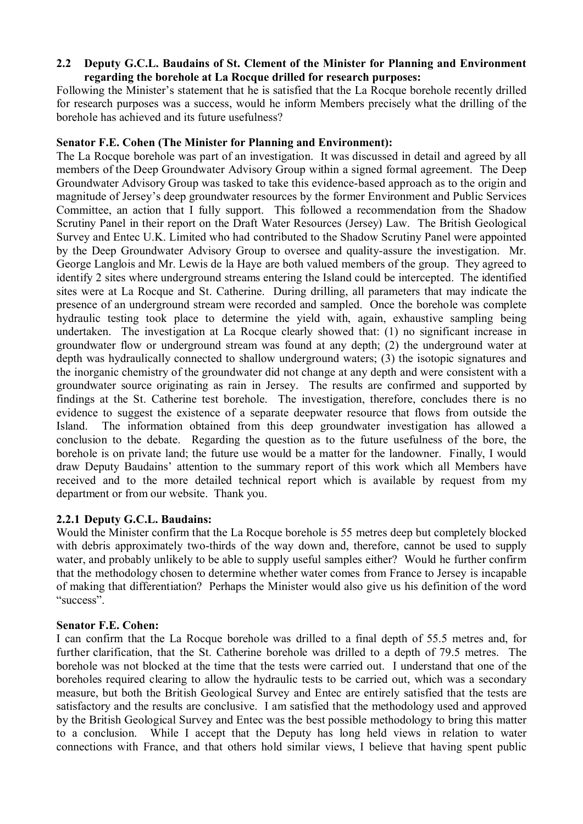# **2.2** � **Deputy G.C.L. Baudains of St. Clement of the Minister for Planning and Environment regarding the borehole at La Rocque drilled for research purposes:**

Following the Minister's statement that he is satisfied that the La Rocque borehole recently drilled for research purposes was a success, would he inform Members precisely what the drilling of the borehole has achieved and its future usefulness?

# **Senator F.E. Cohen (The Minister for Planning and Environment):**

The La Rocque borehole was part of an investigation. It was discussed in detail and agreed by all members of the Deep Groundwater Advisory Group within a signed formal agreement. The Deep Groundwater Advisory Group was tasked to take this evidence-based approach as to the origin and magnitude of Jersey's deep groundwater resources by the former Environment and Public Services Committee, an action that I fully support. This followed a recommendation from the Shadow Scrutiny Panel in their report on the Draft Water Resources (Jersey) Law. The British Geological Survey and Entec U.K. Limited who had contributed to the Shadow Scrutiny Panel were appointed by the Deep Groundwater Advisory Group to oversee and quality-assure the investigation. Mr. George Langlois and Mr. Lewis de la Haye are both valued members of the group. They agreed to identify 2 sites where underground streams entering the Island could be intercepted. The identified sites were at La Rocque and St. Catherine. During drilling, all parameters that may indicate the presence of an underground stream were recorded and sampled. Once the borehole was complete hydraulic testing took place to determine the yield with, again, exhaustive sampling being undertaken. The investigation at La Rocque clearly showed that: (1) no significant increase in groundwater flow or underground stream was found at any depth; (2) the underground water at depth was hydraulically connected to shallow underground waters; (3) the isotopic signatures and the inorganic chemistry of the groundwater did not change at any depth and were consistent with a groundwater source originating as rain in Jersey. The results are confirmed and supported by findings at the St. Catherine test borehole. The investigation, therefore, concludes there is no evidence to suggest the existence of a separate deepwater resource that flows from outside the Island. The information obtained from this deep groundwater investigation has allowed a conclusion to the debate. Regarding the question as to the future usefulness of the bore, the borehole is on private land; the future use would be a matter for the landowner. Finally, I would draw Deputy Baudains' attention to the summary report of this work which all Members have received and to the more detailed technical report which is available by request from my department or from our website. Thank you.

# **2.2.1 Deputy G.C.L. Baudains:**

Would the Minister confirm that the La Rocque borehole is 55 metres deep but completely blocked with debris approximately two-thirds of the way down and, therefore, cannot be used to supply water, and probably unlikely to be able to supply useful samples either? Would he further confirm that the methodology chosen to determine whether water comes from France to Jersey is incapable of making that differentiation? Perhaps the Minister would also give us his definition of the word "success".

# **Senator F.E. Cohen:**

I can confirm that the La Rocque borehole was drilled to a final depth of 55.5 metres and, for further clarification, that the St. Catherine borehole was drilled to a depth of 79.5 metres. The borehole was not blocked at the time that the tests were carried out. I understand that one of the boreholes required clearing to allow the hydraulic tests to be carried out, which was a secondary measure, but both the British Geological Survey and Entec are entirely satisfied that the tests are satisfactory and the results are conclusive. I am satisfied that the methodology used and approved by the British Geological Survey and Entec was the best possible methodology to bring this matter to a conclusion. While I accept that the Deputy has long held views in relation to water connections with France, and that others hold similar views, I believe that having spent public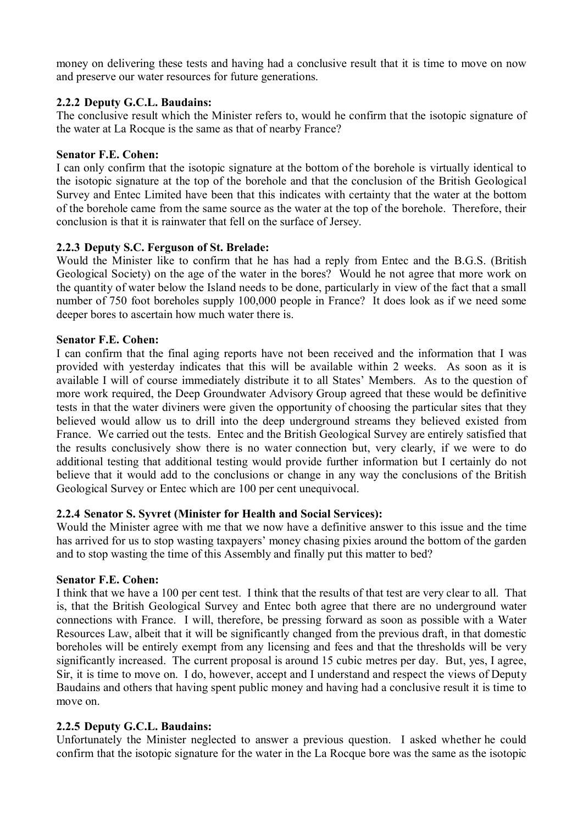money on delivering these tests and having had a conclusive result that it is time to move on now and preserve our water resources for future generations.

## **2.2.2 Deputy G.C.L. Baudains:**

The conclusive result which the Minister refers to, would he confirm that the isotopic signature of the water at La Rocque is the same as that of nearby France?

## **Senator F.E. Cohen:**

I can only confirm that the isotopic signature at the bottom of the borehole is virtually identical to the isotopic signature at the top of the borehole and that the conclusion of the British Geological Survey and Entec Limited have been that this indicates with certainty that the water at the bottom of the borehole came from the same source as the water at the top of the borehole. Therefore, their conclusion is that it is rainwater that fell on the surface of Jersey.

## **2.2.3 Deputy S.C. Ferguson of St. Brelade:**

Would the Minister like to confirm that he has had a reply from Entec and the B.G.S. (British Geological Society) on the age of the water in the bores? Would he not agree that more work on the quantity of water below the Island needs to be done, particularly in view of the fact that a small number of 750 foot boreholes supply 100,000 people in France? It does look as if we need some deeper bores to ascertain how much water there is.

## **Senator F.E. Cohen:**

I can confirm that the final aging reports have not been received and the information that I was provided with yesterday indicates that this will be available within 2 weeks. As soon as it is available I will of course immediately distribute it to all States' Members. As to the question of more work required, the Deep Groundwater Advisory Group agreed that these would be definitive tests in that the water diviners were given the opportunity of choosing the particular sites that they believed would allow us to drill into the deep underground streams they believed existed from France. We carried out the tests. Entec and the British Geological Survey are entirely satisfied that the results conclusively show there is no water connection but, very clearly, if we were to do additional testing that additional testing would provide further information but I certainly do not believe that it would add to the conclusions or change in any way the conclusions of the British Geological Survey or Entec which are 100 per cent unequivocal.

## **2.2.4 Senator S. Syvret (Minister for Health and Social Services):**

Would the Minister agree with me that we now have a definitive answer to this issue and the time has arrived for us to stop wasting taxpayers' money chasing pixies around the bottom of the garden and to stop wasting the time of this Assembly and finally put this matter to bed?

## **Senator F.E. Cohen:**

I think that we have a 100 per cent test. I think that the results of that test are very clear to all. That is, that the British Geological Survey and Entec both agree that there are no underground water connections with France. I will, therefore, be pressing forward as soon as possible with a Water Resources Law, albeit that it will be significantly changed from the previous draft, in that domestic boreholes will be entirely exempt from any licensing and fees and that the thresholds will be very significantly increased. The current proposal is around 15 cubic metres per day. But, yes, I agree, Sir, it is time to move on. I do, however, accept and I understand and respect the views of Deputy Baudains and others that having spent public money and having had a conclusive result it is time to move on.

# **2.2.5 Deputy G.C.L. Baudains:**

Unfortunately the Minister neglected to answer a previous question. I asked whether he could confirm that the isotopic signature for the water in the La Rocque bore was the same as the isotopic